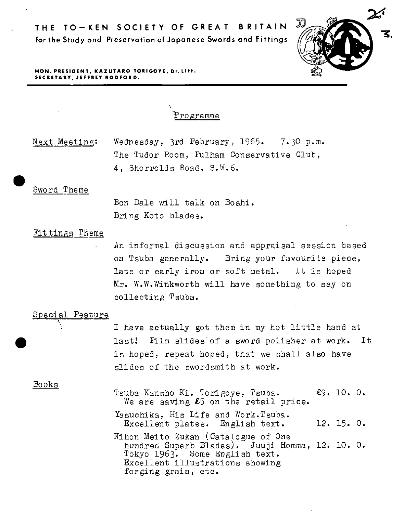

**HON. PRESIDENT, KAZUTARO TORIGOYE, Dr. Litt. SECRETARY, JEFFREY RODFORD.** 

'Fro gramme

 $\frac{S_1}{S_2}$ Next Meeting: Wednesday, 3rd February, 1965. 7-30 p.m. The Tudor Room, Fulham Conservative Club, 4, Shorrolds Road, S.W.6.

\

Bon Dale will talk on Boshi. Bring Koto blades.

# Fittings Theme

*An* informal discussion and appraisal session based on Tsuba generally. Bring your favourite piece, late or early iron or soft metal. It is hoped Mr. W,W.Winkworth will *have* something to say on collecting Tsuba.

#### Special Feature

<sup>I</sup>*have* actually got them in my hot little hand at last! Film slides of a sword polisher at work. It is hoped, repeat hoped, that we shall also *have*  slides of the swordsmith at work.

Books

•

- Tsuba Kansho Ki. Torigoye, Tsuba. £9. 10. 0. We are saving  $£5$  on the retail price. Yasuchika, His Life and Work.Tsuba.
	- Excellent plates. English text. 12. 15. O.
- Nihon Meito Zukan (Catalogue of One hundred Superb Blades). Juuji Homma, 12. 10. 0. Tokyo 1963. Some English text. Excellent illustrations showing forging grain, etc.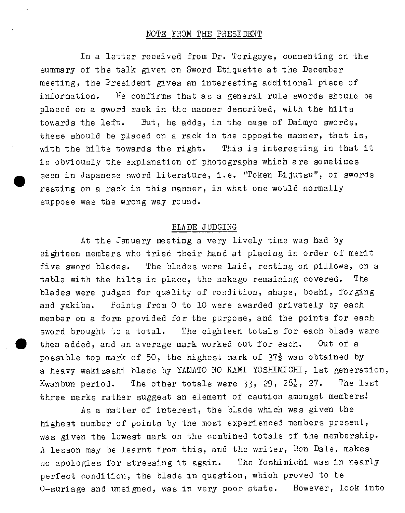## NOTE FROM THE PRESIDENT

• In a letter received from Dr. Torigoye, commenting on the summary of the talk given on Sword Etiquette at the December meeting, the President gives an interesting additional piece of information. He confirms that as a general rule swords should be placed on a sword rack in the manner described, with the hilts towards the left. But, he adds, in the case of Daimyo swords, these should be placed on a rack in the opposite manner, that is, with the hilts towards the right. This is interesting in that it is obviously the explanation of photographs which are sometimes seen in Japanese sword literature, i.e. "Token Bijutsu", of swords resting on a rack in this manner, in what one would normally suppose was the wrong way round.

## BLADE JUDGING

At the January meeting a very lively time was had by eighteen members who tried their hand at placing in order of merit five sword blades. The blades were laid, resting on pillows, on <sup>a</sup> table with the hilts in place, the nakago remaining covered. The blades were judged for quality of condition, shape, boshi, forging and yakiba. Points from 0 to 10 were awarded privately by each member on a form provided for the purpose, and the points for each sword brought to a total. The eighteen totals for each blade were then added, and an average mark worked out for each. Out of a possible top mark of 50, the highest mark of  $37\frac{1}{2}$  was obtained by <sup>a</sup>heavy wakizashi blade by YAMATO NO KAMI YOSHIMICHI, lst generation, Kwanbun period. The other totals were 33, 29, 28 $\frac{1}{2}$ , 27. The last three marks rather suggest an element of caution amongst members!

As a matter of interest, the blade which was given the highest number of points by the most experienced members present, was given the lowest mark on the combined totals of the membership. *<sup>A</sup>*lesson may be learnt from this, and the writer, Bon Dale, makes no apologies for stressing it again. The Yoshimichi was in nearly perfect condition, the blade in question, which proved to be 0-suriage and unsigned, was in very poor state. However, look into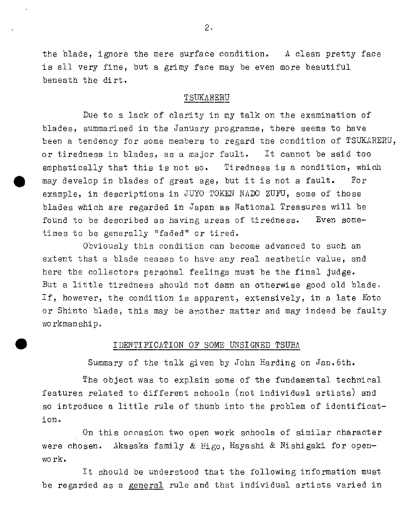the blade, ignore the mere surface condition, *A* clean pretty face is all very fine, but a grimy face may be even more beautiful beneath the dirt.

# TSUKARERU

Due to a lack of clarity in my talk on the examination of blades, summarised in the January programme, there seems to have been a tendency for some members to regard the condition of TSUKARERU, or tiredness in blades, as a major fault. It cannot be said too emphatically that this is not so. Tiredness is a condition, which may develop in blades of great age, but it is not a fault. For example, in descriptions in JUYO TOKEN NADO ZUFU, some of those blades which are regarded in Japan as National Treasures will be found to be described as having areas of tiredness. times to be generally "faded" or tired. Even some-

Obviously this condition can become advanced to such an extent that a blade ceases to have any real aesthetic value, and here the collectors personal feelings must be the final judge. But a little tiredness should not damn an otherwise good old blade. If, however, the condition is apparent, extensively, in a late *K*oto or Shinto blade, this may be another matter and may indeed be faulty workmanship •

#### IDENTIFICATION OF SOME UNSIGNED TSUBA

•

Summary of the talk given by John Harding on Jan.6th.

The object was to explain some of the fundamental technical features related to different schools (not individual artists) and so introduce a little rule of thumb into the problem of identification.

On this occasion two open work schools of similar character were chosen. Akasaka family & Higo, Hayashi & Nishigaki for openwork.

It should be understood that the following information must be regarded as a general rule and that individual artists varied in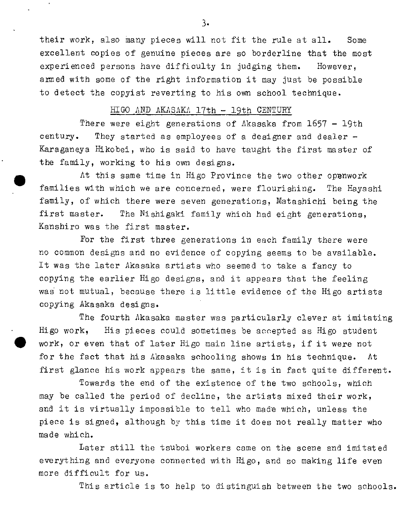their work, also many pieces will not fit the rule at all. Some excellent copies of genuine pieces are so borderline that the most experienced persons have difficulty in judging them. However, armed with some of the right information it may just be possible to detect the copyist reverting to his own school technique.

#### HIGO AND AKASAKA 17th - 19th CENTURY

There were eight generations of Akasaka from 1657 - 19th century. They started as employees of a designer and dealer  $-$ Karaganeya Hikobei, who is said to have taught the first master of the family, working to his own designs.

 $\bullet$ At this same time in Higo Province the two other opanwork families with which we are concerned, were flourishing. The Hayashi family, of which there were seven generations, Matashichi being the first master. The Nishigaki family which had eight generations, Kanshiro was the first master.

For the first three generations in each family there were no common designs and no evidence of copying seems to be available. It was the later Akasaka artists who seemed to take a fancy to copying the earlier Hi go designs, and it appears that the feeling was not mutual, because there is little evidence of the Higo artists copying Akasaka designs.

The fourth Akasaka master was particularly clever at imitating Higo work, His pieces could sometimes be accepted as Higo student work, or even that of later Higo main line artists, if it were not for the fact that his Akasaka schooling shows in his technique. At first glance his work appears the same, it is in fact quite different.

Towards the end of the existence of the two schools, which may be called the period of decline, the artists mixed their work, and it is virtually impossible to tell who made which, unless the piece is signed, although by this time it does not really matter who made which.

Later still the tsuboi workers came on the scene and imitated everything and everyone connected with Hi go, and so making life even more difficult for us.

This article is to help to distinguish between the two schools.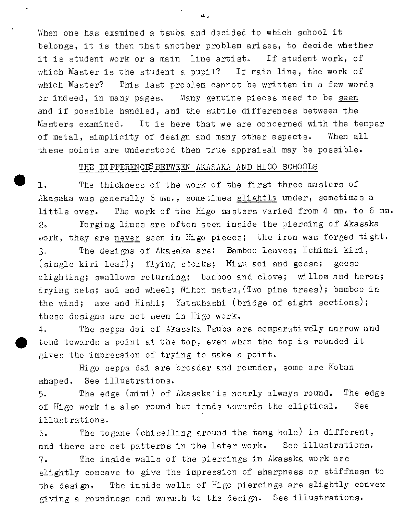When one has examined a tsuba and decided to which school it belongs, it is then that another problem arises, to decide whether it is student work or <sup>a</sup>main line artist. If student work, of which Master is the student a pupil? If main line, the work of which Master? This last problem cannot be written in a few words or indeed, in many pages. Many genuine pieces need to be seen and if possible handled, and the subtle differences between the Masters examined, It is here that we are concerned with the temper of metal, simplicity of design and many other aspects. When all these points are understood then true appraisal may be possible.

# THE DIFFERENCES BETWEEN AKASAKA AND HIGO SCHOOLS

 $\bullet$  , l, The thickness of the work of the first three masters of Akasaka was generally 6 mm., sometimes slightly under, sometimes a little over. The work of the Higo masters varied from 4 mm. to 6 mm. 2. Forging lines are often seen inside the piercing of Akasaka work, they are never seen in Higo pieces; the iron was forged tight. 3. The designs of Akasaka are: Bamboo leaves; Ichimai kiri, (single kiri leaf); flying storks; Mizu aoi and geese; geese alighting; swallows returning; bamboo and clove; willow and heron; drying nets; aoi and wheel; Nihon matsu, (Two pine trees); bamboo in the wind; axe and Hishi; Yatsuhashi (bridge of eight sections); these designs are not seen in Higo work.

4. The seppa dai of Akasaka Tsuba are comparatively narrow and tend towards a point at the top, even when the top is rounded it gives the impression of trying to make a point.

Higo seppa dai are broader and rounder, some are Koban shaped. See illustrations.

5. The edge ( mimi) of f1kasaka is nearly always round. The edge of Higo work is also round but tends towards the eliptical. See illustrations.

 $6.$  The to gane (chiselling around the tang hole) is different, and there are set patterns in the later work. See illustrations.

7. The inside walls of the piercings in Akasaka work are slightly concave to give the impression of sharpness or stiffness to the design, The inside walls of Higo piercings are slightly convex giving a roundness and warmth to the design. See illustrations.

4.